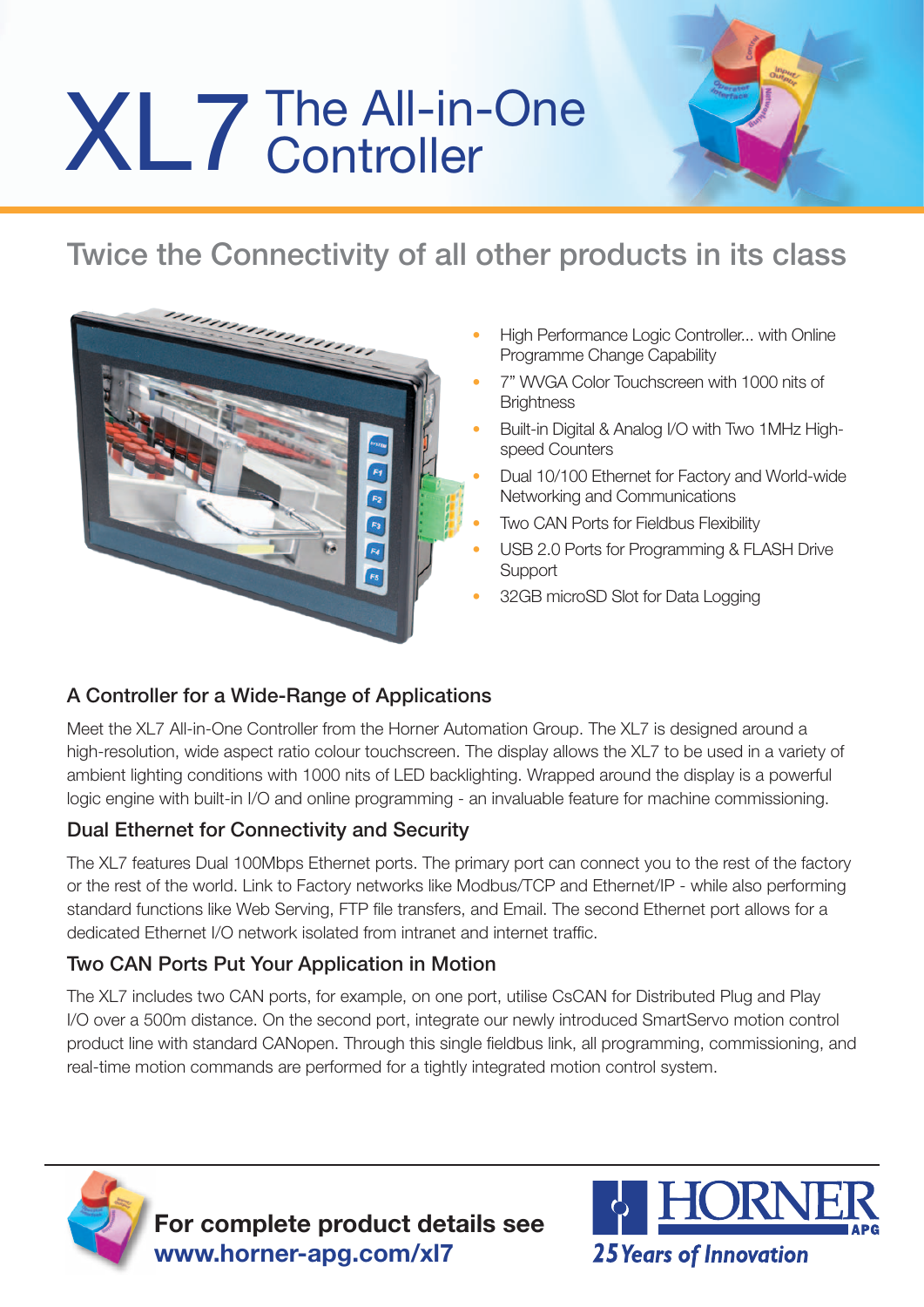# XL7 The All-in-One



## Twice the Connectivity of all other products in its class



- High Performance Logic Controller... with Online Programme Change Capability
- 7" WVGA Color Touchscreen with 1000 nits of **Brightness**
- Built-in Digital & Analog I/O with Two 1MHz Highspeed Counters
- Dual 10/100 Ethernet for Factory and World-wide Networking and Communications
- Two CAN Ports for Fieldbus Flexibility
- USB 2.0 Ports for Programming & FLASH Drive **Support**
- 32GB microSD Slot for Data Logging

#### A Controller for a Wide-Range of Applications

Meet the XL7 All-in-One Controller from the Horner Automation Group. The XL7 is designed around a high-resolution, wide aspect ratio colour touchscreen. The display allows the XL7 to be used in a variety of ambient lighting conditions with 1000 nits of LED backlighting. Wrapped around the display is a powerful logic engine with built-in I/O and online programming - an invaluable feature for machine commissioning.

#### Dual Ethernet for Connectivity and Security

The XL7 features Dual 100Mbps Ethernet ports. The primary port can connect you to the rest of the factory or the rest of the world. Link to Factory networks like Modbus/TCP and Ethernet/IP - while also performing standard functions like Web Serving, FTP file transfers, and Email. The second Ethernet port allows for a dedicated Ethernet I/O network isolated from intranet and internet traffic.

#### Two CAN Ports Put Your Application in Motion

The XL7 includes two CAN ports, for example, on one port, utilise CsCAN for Distributed Plug and Play I/O over a 500m distance. On the second port, integrate our newly introduced SmartServo motion control product line with standard CANopen. Through this single fieldbus link, all programming, commissioning, and real-time motion commands are performed for a tightly integrated motion control system.